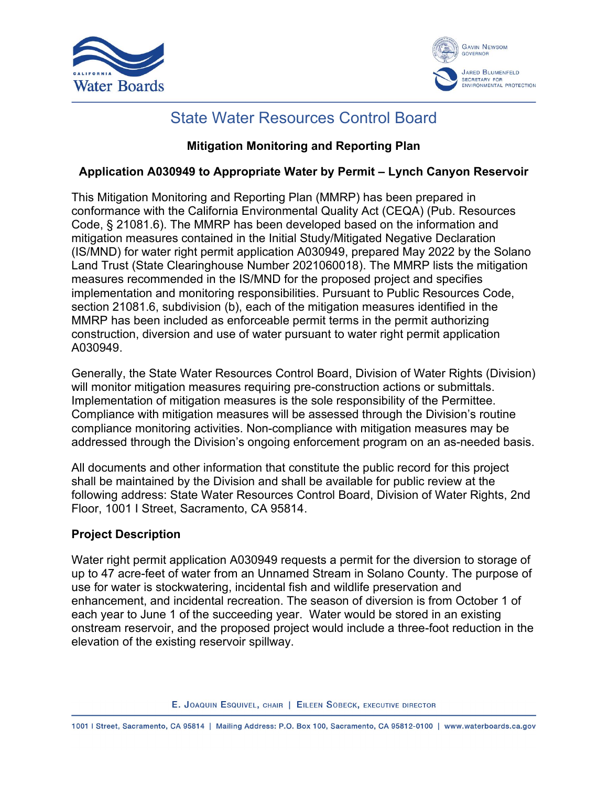



### State Water Resources Control Board

#### **Mitigation Monitoring and Reporting Plan**

#### **Application A030949 to Appropriate Water by Permit – Lynch Canyon Reservoir**

This Mitigation Monitoring and Reporting Plan (MMRP) has been prepared in conformance with the California Environmental Quality Act (CEQA) (Pub. Resources Code, § 21081.6). The MMRP has been developed based on the information and mitigation measures contained in the Initial Study/Mitigated Negative Declaration (IS/MND) for water right permit application A030949, prepared May 2022 by the Solano Land Trust (State Clearinghouse Number 2021060018). The MMRP lists the mitigation measures recommended in the IS/MND for the proposed project and specifies implementation and monitoring responsibilities. Pursuant to Public Resources Code, section 21081.6, subdivision (b), each of the mitigation measures identified in the MMRP has been included as enforceable permit terms in the permit authorizing construction, diversion and use of water pursuant to water right permit application A030949.

Generally, the State Water Resources Control Board, Division of Water Rights (Division) will monitor mitigation measures requiring pre-construction actions or submittals. Implementation of mitigation measures is the sole responsibility of the Permittee. Compliance with mitigation measures will be assessed through the Division's routine compliance monitoring activities. Non-compliance with mitigation measures may be addressed through the Division's ongoing enforcement program on an as-needed basis.

All documents and other information that constitute the public record for this project shall be maintained by the Division and shall be available for public review at the following address: State Water Resources Control Board, Division of Water Rights, 2nd Floor, 1001 I Street, Sacramento, CA 95814.

#### **Project Description**

Water right permit application A030949 requests a permit for the diversion to storage of up to 47 acre-feet of water from an Unnamed Stream in Solano County. The purpose of use for water is stockwatering, incidental fish and wildlife preservation and enhancement, and incidental recreation. The season of diversion is from October 1 of each year to June 1 of the succeeding year. Water would be stored in an existing onstream reservoir, and the proposed project would include a three-foot reduction in the elevation of the existing reservoir spillway.

E. JOAQUIN ESQUIVEL, CHAIR | EILEEN SOBECK, EXECUTIVE DIRECTOR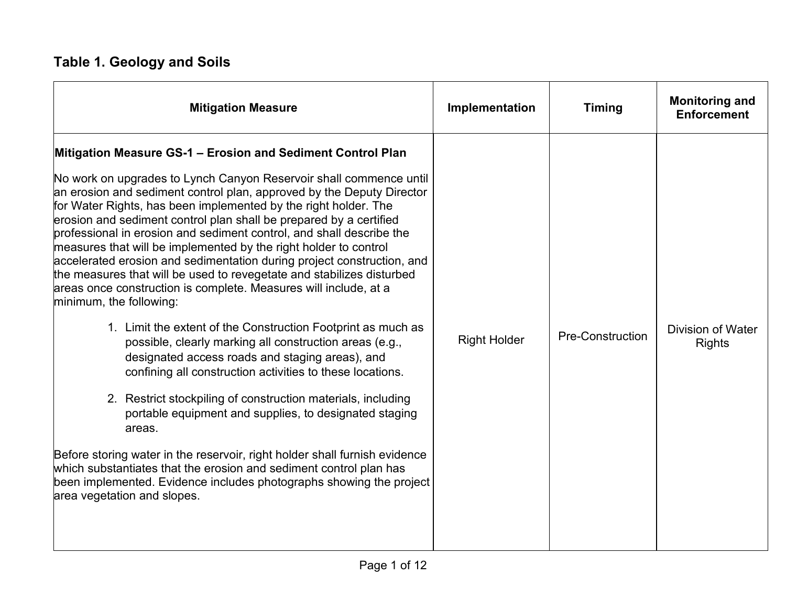## **Table 1. Geology and Soils**

| <b>Mitigation Measure</b>                                                                                                                                                                                                                                                                                                                                                                                                                                                                                                                                                                                                                                                                                                                                                                                                                                                                                                                                                                                                                                                                                                                                                                                                                                                                                                                                                                  | Implementation      | <b>Timing</b>           | <b>Monitoring and</b><br><b>Enforcement</b> |
|--------------------------------------------------------------------------------------------------------------------------------------------------------------------------------------------------------------------------------------------------------------------------------------------------------------------------------------------------------------------------------------------------------------------------------------------------------------------------------------------------------------------------------------------------------------------------------------------------------------------------------------------------------------------------------------------------------------------------------------------------------------------------------------------------------------------------------------------------------------------------------------------------------------------------------------------------------------------------------------------------------------------------------------------------------------------------------------------------------------------------------------------------------------------------------------------------------------------------------------------------------------------------------------------------------------------------------------------------------------------------------------------|---------------------|-------------------------|---------------------------------------------|
| Mitigation Measure GS-1 - Erosion and Sediment Control Plan<br>No work on upgrades to Lynch Canyon Reservoir shall commence until<br>an erosion and sediment control plan, approved by the Deputy Director<br>for Water Rights, has been implemented by the right holder. The<br>erosion and sediment control plan shall be prepared by a certified<br>professional in erosion and sediment control, and shall describe the<br>measures that will be implemented by the right holder to control<br>accelerated erosion and sedimentation during project construction, and<br>the measures that will be used to revegetate and stabilizes disturbed<br>areas once construction is complete. Measures will include, at a<br>minimum, the following:<br>1. Limit the extent of the Construction Footprint as much as<br>possible, clearly marking all construction areas (e.g.,<br>designated access roads and staging areas), and<br>confining all construction activities to these locations.<br>2. Restrict stockpiling of construction materials, including<br>portable equipment and supplies, to designated staging<br>areas.<br>Before storing water in the reservoir, right holder shall furnish evidence<br>which substantiates that the erosion and sediment control plan has<br>been implemented. Evidence includes photographs showing the project<br>area vegetation and slopes. | <b>Right Holder</b> | <b>Pre-Construction</b> | Division of Water<br><b>Rights</b>          |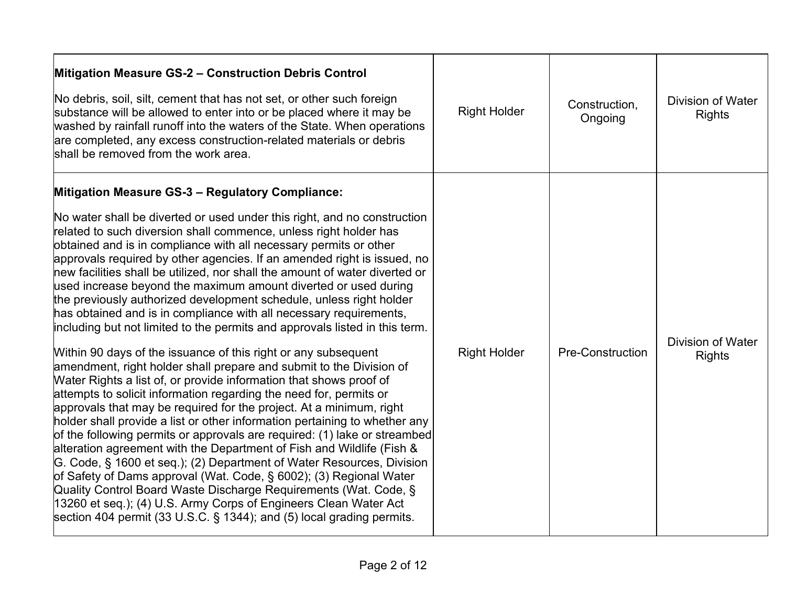| Mitigation Measure GS-2 - Construction Debris Control<br>No debris, soil, silt, cement that has not set, or other such foreign<br>substance will be allowed to enter into or be placed where it may be<br>washed by rainfall runoff into the waters of the State. When operations<br>are completed, any excess construction-related materials or debris<br>shall be removed from the work area.                                                                                                                                                                                                                                                                                                                                                                                                                                                                                                                                                                                                                                                                                                                                                                                                                                                                                                                                                                                                                                                                                                                                                                                                                                                                                                           | <b>Right Holder</b> | Construction.<br>Ongoing | <b>Division of Water</b><br><b>Rights</b> |
|-----------------------------------------------------------------------------------------------------------------------------------------------------------------------------------------------------------------------------------------------------------------------------------------------------------------------------------------------------------------------------------------------------------------------------------------------------------------------------------------------------------------------------------------------------------------------------------------------------------------------------------------------------------------------------------------------------------------------------------------------------------------------------------------------------------------------------------------------------------------------------------------------------------------------------------------------------------------------------------------------------------------------------------------------------------------------------------------------------------------------------------------------------------------------------------------------------------------------------------------------------------------------------------------------------------------------------------------------------------------------------------------------------------------------------------------------------------------------------------------------------------------------------------------------------------------------------------------------------------------------------------------------------------------------------------------------------------|---------------------|--------------------------|-------------------------------------------|
| <b>Mitigation Measure GS-3 - Regulatory Compliance:</b><br>No water shall be diverted or used under this right, and no construction<br>related to such diversion shall commence, unless right holder has<br>obtained and is in compliance with all necessary permits or other<br>approvals required by other agencies. If an amended right is issued, no<br>new facilities shall be utilized, nor shall the amount of water diverted or<br>used increase beyond the maximum amount diverted or used during<br>the previously authorized development schedule, unless right holder<br>has obtained and is in compliance with all necessary requirements,<br>including but not limited to the permits and approvals listed in this term.<br>Within 90 days of the issuance of this right or any subsequent<br>amendment, right holder shall prepare and submit to the Division of<br>Water Rights a list of, or provide information that shows proof of<br>attempts to solicit information regarding the need for, permits or<br>approvals that may be required for the project. At a minimum, right<br>holder shall provide a list or other information pertaining to whether any<br>of the following permits or approvals are required: (1) lake or streambed<br>alteration agreement with the Department of Fish and Wildlife (Fish &<br>G. Code, § 1600 et seq.); (2) Department of Water Resources, Division<br>of Safety of Dams approval (Wat. Code, § 6002); (3) Regional Water<br>Quality Control Board Waste Discharge Requirements (Wat. Code, §<br>13260 et seq.); (4) U.S. Army Corps of Engineers Clean Water Act<br>section 404 permit (33 U.S.C. $\S$ 1344); and (5) local grading permits. | <b>Right Holder</b> | <b>Pre-Construction</b>  | <b>Division of Water</b><br><b>Rights</b> |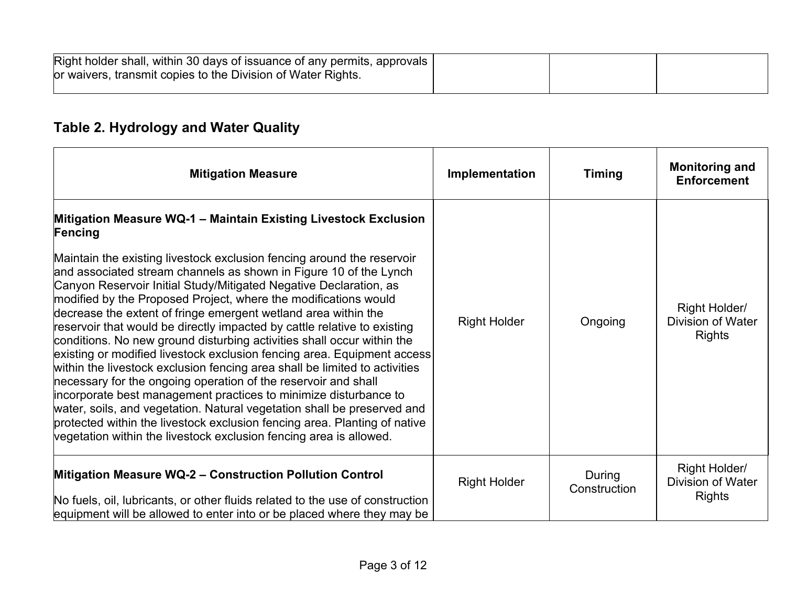| Right holder shall, within 30 days of issuance of any permits, approvals<br>or waivers, transmit copies to the Division of Water Rights. |  |  |
|------------------------------------------------------------------------------------------------------------------------------------------|--|--|
|                                                                                                                                          |  |  |

## **Table 2. Hydrology and Water Quality**

| <b>Mitigation Measure</b>                                                                                                                                                                                                                                                                                                                                                                                                                                                                                                                                                                                                                                                                                                                                                                                                                                                                                                                                                                                                                                                                                              | Implementation      | <b>Timing</b>          | <b>Monitoring and</b><br><b>Enforcement</b>                |
|------------------------------------------------------------------------------------------------------------------------------------------------------------------------------------------------------------------------------------------------------------------------------------------------------------------------------------------------------------------------------------------------------------------------------------------------------------------------------------------------------------------------------------------------------------------------------------------------------------------------------------------------------------------------------------------------------------------------------------------------------------------------------------------------------------------------------------------------------------------------------------------------------------------------------------------------------------------------------------------------------------------------------------------------------------------------------------------------------------------------|---------------------|------------------------|------------------------------------------------------------|
| Mitigation Measure WQ-1 - Maintain Existing Livestock Exclusion<br>Fencing<br>Maintain the existing livestock exclusion fencing around the reservoir<br>and associated stream channels as shown in Figure 10 of the Lynch<br>Canyon Reservoir Initial Study/Mitigated Negative Declaration, as<br>modified by the Proposed Project, where the modifications would<br>decrease the extent of fringe emergent wetland area within the<br>reservoir that would be directly impacted by cattle relative to existing<br>conditions. No new ground disturbing activities shall occur within the<br>existing or modified livestock exclusion fencing area. Equipment access<br>within the livestock exclusion fencing area shall be limited to activities<br>necessary for the ongoing operation of the reservoir and shall<br>incorporate best management practices to minimize disturbance to<br>water, soils, and vegetation. Natural vegetation shall be preserved and<br>protected within the livestock exclusion fencing area. Planting of native<br>vegetation within the livestock exclusion fencing area is allowed. | <b>Right Holder</b> | Ongoing                | Right Holder/<br><b>Division of Water</b><br><b>Rights</b> |
| Mitigation Measure WQ-2 - Construction Pollution Control<br>No fuels, oil, lubricants, or other fluids related to the use of construction<br>equipment will be allowed to enter into or be placed where they may be                                                                                                                                                                                                                                                                                                                                                                                                                                                                                                                                                                                                                                                                                                                                                                                                                                                                                                    | <b>Right Holder</b> | During<br>Construction | Right Holder/<br>Division of Water<br>Rights               |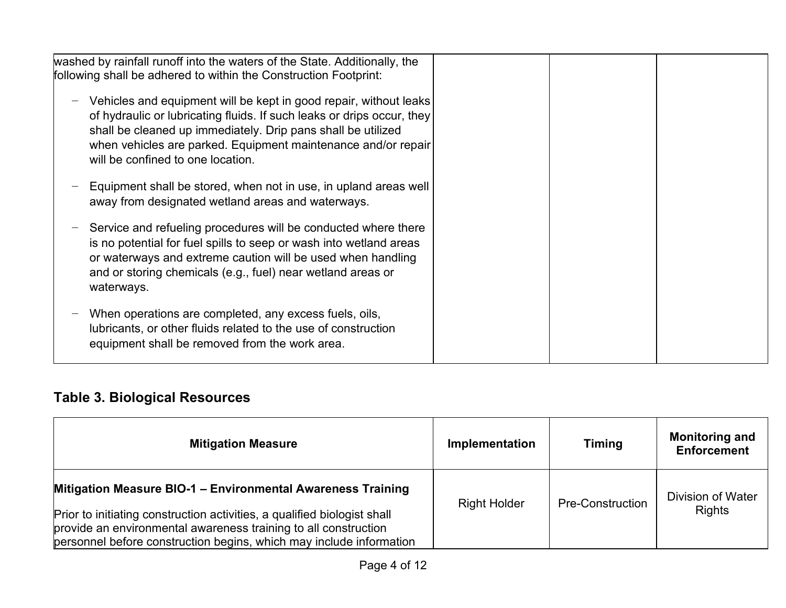| washed by rainfall runoff into the waters of the State. Additionally, the                                                                                                                                                                                                                                         |  |
|-------------------------------------------------------------------------------------------------------------------------------------------------------------------------------------------------------------------------------------------------------------------------------------------------------------------|--|
| following shall be adhered to within the Construction Footprint:                                                                                                                                                                                                                                                  |  |
| Vehicles and equipment will be kept in good repair, without leaks<br>of hydraulic or lubricating fluids. If such leaks or drips occur, they<br>shall be cleaned up immediately. Drip pans shall be utilized<br>when vehicles are parked. Equipment maintenance and/or repair<br>will be confined to one location. |  |
| Equipment shall be stored, when not in use, in upland areas well<br>away from designated wetland areas and waterways.                                                                                                                                                                                             |  |
| Service and refueling procedures will be conducted where there<br>is no potential for fuel spills to seep or wash into wetland areas<br>or waterways and extreme caution will be used when handling<br>and or storing chemicals (e.g., fuel) near wetland areas or<br>waterways.                                  |  |
| When operations are completed, any excess fuels, oils,<br>lubricants, or other fluids related to the use of construction<br>equipment shall be removed from the work area.                                                                                                                                        |  |

# **Table 3. Biological Resources**

| <b>Mitigation Measure</b>                                                                                                                                                                                          | <b>Implementation</b> | <b>Timing</b>           | <b>Monitoring and</b><br><b>Enforcement</b> |
|--------------------------------------------------------------------------------------------------------------------------------------------------------------------------------------------------------------------|-----------------------|-------------------------|---------------------------------------------|
| Mitigation Measure BIO-1 - Environmental Awareness Training                                                                                                                                                        | <b>Right Holder</b>   | <b>Pre-Construction</b> | Division of Water                           |
| Prior to initiating construction activities, a qualified biologist shall<br>provide an environmental awareness training to all construction<br>personnel before construction begins, which may include information |                       |                         | <b>Rights</b>                               |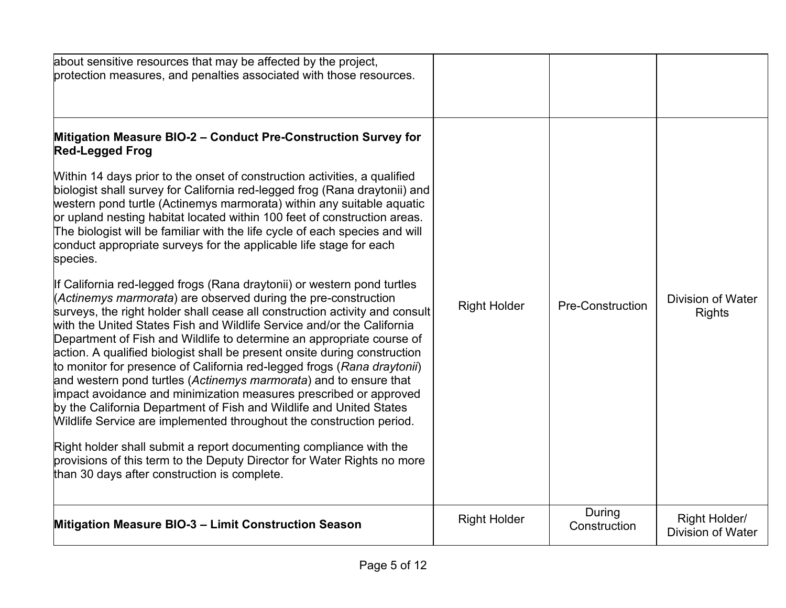| about sensitive resources that may be affected by the project,<br>protection measures, and penalties associated with those resources.                                                                                                                                                                                                                                                                                                                                                                                                                                                                                                                                                                                                                                                                                                                                                                                                                                                                                                                                                                                                                                                                                                                                                                                                                                                                                                                                                                                                                                                                      |                     |                         |                                           |
|------------------------------------------------------------------------------------------------------------------------------------------------------------------------------------------------------------------------------------------------------------------------------------------------------------------------------------------------------------------------------------------------------------------------------------------------------------------------------------------------------------------------------------------------------------------------------------------------------------------------------------------------------------------------------------------------------------------------------------------------------------------------------------------------------------------------------------------------------------------------------------------------------------------------------------------------------------------------------------------------------------------------------------------------------------------------------------------------------------------------------------------------------------------------------------------------------------------------------------------------------------------------------------------------------------------------------------------------------------------------------------------------------------------------------------------------------------------------------------------------------------------------------------------------------------------------------------------------------------|---------------------|-------------------------|-------------------------------------------|
| Mitigation Measure BIO-2 - Conduct Pre-Construction Survey for<br><b>Red-Legged Frog</b><br>Within 14 days prior to the onset of construction activities, a qualified<br>biologist shall survey for California red-legged frog (Rana draytonii) and<br>western pond turtle (Actinemys marmorata) within any suitable aquatic<br>or upland nesting habitat located within 100 feet of construction areas.<br>The biologist will be familiar with the life cycle of each species and will<br>conduct appropriate surveys for the applicable life stage for each<br>species.<br>If California red-legged frogs (Rana draytonii) or western pond turtles<br>(Actinemys marmorata) are observed during the pre-construction<br>surveys, the right holder shall cease all construction activity and consult<br>with the United States Fish and Wildlife Service and/or the California<br>Department of Fish and Wildlife to determine an appropriate course of<br>action. A qualified biologist shall be present onsite during construction<br>to monitor for presence of California red-legged frogs (Rana draytonii)<br>and western pond turtles (Actinemys marmorata) and to ensure that<br>impact avoidance and minimization measures prescribed or approved<br>by the California Department of Fish and Wildlife and United States<br>Wildlife Service are implemented throughout the construction period.<br>Right holder shall submit a report documenting compliance with the<br>provisions of this term to the Deputy Director for Water Rights no more<br>than 30 days after construction is complete. | <b>Right Holder</b> | <b>Pre-Construction</b> | <b>Division of Water</b><br><b>Rights</b> |
| Mitigation Measure BIO-3 - Limit Construction Season                                                                                                                                                                                                                                                                                                                                                                                                                                                                                                                                                                                                                                                                                                                                                                                                                                                                                                                                                                                                                                                                                                                                                                                                                                                                                                                                                                                                                                                                                                                                                       | <b>Right Holder</b> | During<br>Construction  | Right Holder/<br><b>Division of Water</b> |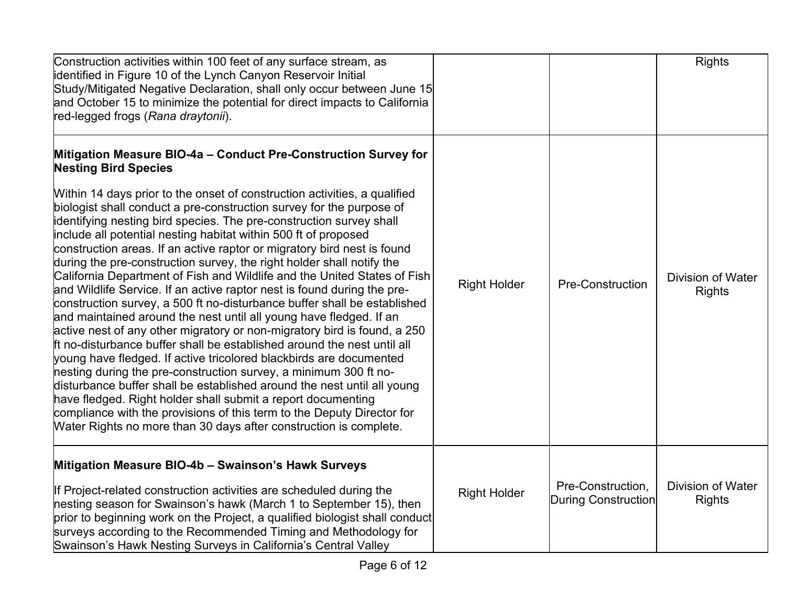| Construction activities within 100 feet of any surface stream, as<br>identified in Figure 10 of the Lynch Canyon Reservoir Initial<br>Study/Mitigated Negative Declaration, shall only occur between June 15<br>and October 15 to minimize the potential for direct impacts to California<br>red-legged frogs (Rana draytonii).                                                                                                                                                                                                                                                                                                                                                                                                                                                                                                                                                                                                                                                                                                                                                                                                                                                                                                                                                                                                                                                                                                                        |                     |                                                 | <b>Rights</b>                             |
|--------------------------------------------------------------------------------------------------------------------------------------------------------------------------------------------------------------------------------------------------------------------------------------------------------------------------------------------------------------------------------------------------------------------------------------------------------------------------------------------------------------------------------------------------------------------------------------------------------------------------------------------------------------------------------------------------------------------------------------------------------------------------------------------------------------------------------------------------------------------------------------------------------------------------------------------------------------------------------------------------------------------------------------------------------------------------------------------------------------------------------------------------------------------------------------------------------------------------------------------------------------------------------------------------------------------------------------------------------------------------------------------------------------------------------------------------------|---------------------|-------------------------------------------------|-------------------------------------------|
| Mitigation Measure BIO-4a - Conduct Pre-Construction Survey for<br><b>Nesting Bird Species</b><br>Within 14 days prior to the onset of construction activities, a qualified<br>biologist shall conduct a pre-construction survey for the purpose of<br>identifying nesting bird species. The pre-construction survey shall<br>include all potential nesting habitat within 500 ft of proposed<br>construction areas. If an active raptor or migratory bird nest is found<br>during the pre-construction survey, the right holder shall notify the<br>California Department of Fish and Wildlife and the United States of Fish<br>and Wildlife Service. If an active raptor nest is found during the pre-<br>construction survey, a 500 ft no-disturbance buffer shall be established<br>and maintained around the nest until all young have fledged. If an<br>active nest of any other migratory or non-migratory bird is found, a 250<br>Ift no-disturbance buffer shall be established around the nest until all<br>young have fledged. If active tricolored blackbirds are documented<br>hesting during the pre-construction survey, a minimum 300 ft no-<br>disturbance buffer shall be established around the nest until all young<br>have fledged. Right holder shall submit a report documenting<br>compliance with the provisions of this term to the Deputy Director for<br>Water Rights no more than 30 days after construction is complete. | <b>Right Holder</b> | Pre-Construction                                | <b>Division of Water</b><br><b>Rights</b> |
| Mitigation Measure BIO-4b - Swainson's Hawk Surveys<br>If Project-related construction activities are scheduled during the<br>nesting season for Swainson's hawk (March 1 to September 15), then<br>prior to beginning work on the Project, a qualified biologist shall conduct<br>surveys according to the Recommended Timing and Methodology for<br>Swainson's Hawk Nesting Surveys in California's Central Valley                                                                                                                                                                                                                                                                                                                                                                                                                                                                                                                                                                                                                                                                                                                                                                                                                                                                                                                                                                                                                                   | <b>Right Holder</b> | Pre-Construction,<br><b>During Construction</b> | Division of Water<br><b>Rights</b>        |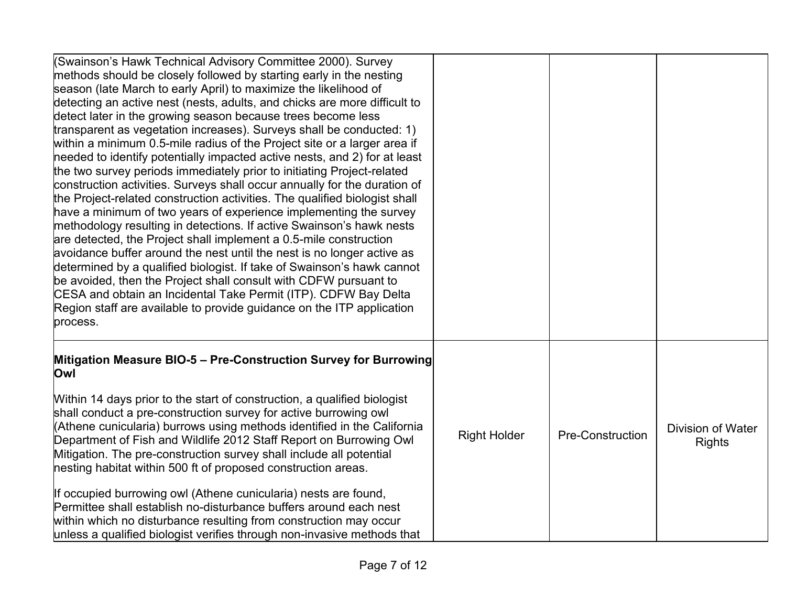| (Swainson's Hawk Technical Advisory Committee 2000). Survey<br>methods should be closely followed by starting early in the nesting<br>season (late March to early April) to maximize the likelihood of<br>detecting an active nest (nests, adults, and chicks are more difficult to<br>detect later in the growing season because trees become less<br>transparent as vegetation increases). Surveys shall be conducted: 1)<br>within a minimum 0.5-mile radius of the Project site or a larger area if<br>needed to identify potentially impacted active nests, and 2) for at least<br>the two survey periods immediately prior to initiating Project-related<br>construction activities. Surveys shall occur annually for the duration of<br>the Project-related construction activities. The qualified biologist shall<br>have a minimum of two years of experience implementing the survey<br>methodology resulting in detections. If active Swainson's hawk nests<br>are detected, the Project shall implement a 0.5-mile construction<br>avoidance buffer around the nest until the nest is no longer active as<br>determined by a qualified biologist. If take of Swainson's hawk cannot<br>be avoided, then the Project shall consult with CDFW pursuant to<br>CESA and obtain an Incidental Take Permit (ITP). CDFW Bay Delta<br>Region staff are available to provide guidance on the ITP application<br>process. |                     |                         |                                           |
|-----------------------------------------------------------------------------------------------------------------------------------------------------------------------------------------------------------------------------------------------------------------------------------------------------------------------------------------------------------------------------------------------------------------------------------------------------------------------------------------------------------------------------------------------------------------------------------------------------------------------------------------------------------------------------------------------------------------------------------------------------------------------------------------------------------------------------------------------------------------------------------------------------------------------------------------------------------------------------------------------------------------------------------------------------------------------------------------------------------------------------------------------------------------------------------------------------------------------------------------------------------------------------------------------------------------------------------------------------------------------------------------------------------------------------|---------------------|-------------------------|-------------------------------------------|
| Mitigation Measure BIO-5 - Pre-Construction Survey for Burrowing<br>Owl                                                                                                                                                                                                                                                                                                                                                                                                                                                                                                                                                                                                                                                                                                                                                                                                                                                                                                                                                                                                                                                                                                                                                                                                                                                                                                                                                     |                     |                         |                                           |
| Within 14 days prior to the start of construction, a qualified biologist<br>shall conduct a pre-construction survey for active burrowing owl<br>(Athene cunicularia) burrows using methods identified in the California<br>Department of Fish and Wildlife 2012 Staff Report on Burrowing Owl<br>Mitigation. The pre-construction survey shall include all potential<br>nesting habitat within 500 ft of proposed construction areas.                                                                                                                                                                                                                                                                                                                                                                                                                                                                                                                                                                                                                                                                                                                                                                                                                                                                                                                                                                                       | <b>Right Holder</b> | <b>Pre-Construction</b> | <b>Division of Water</b><br><b>Rights</b> |
| If occupied burrowing owl (Athene cunicularia) nests are found,<br>Permittee shall establish no-disturbance buffers around each nest<br>within which no disturbance resulting from construction may occur<br>unless a qualified biologist verifies through non-invasive methods that                                                                                                                                                                                                                                                                                                                                                                                                                                                                                                                                                                                                                                                                                                                                                                                                                                                                                                                                                                                                                                                                                                                                        |                     |                         |                                           |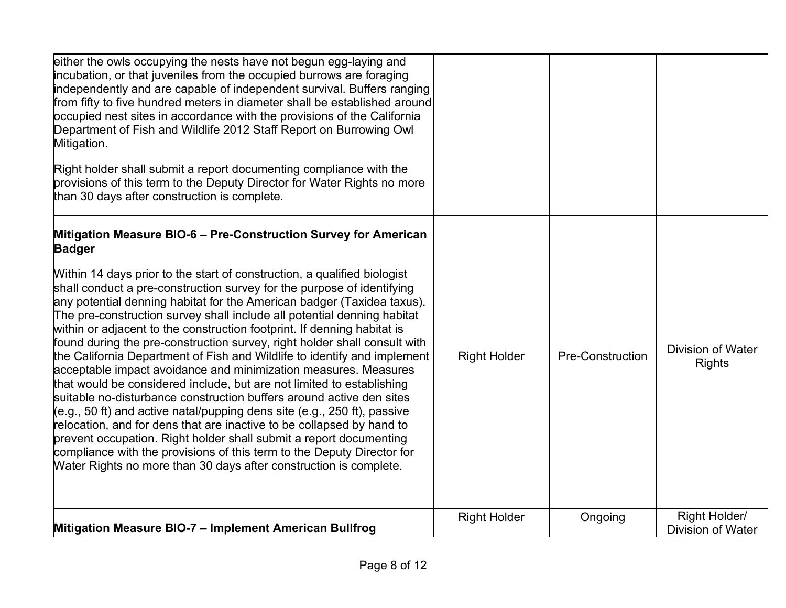| either the owls occupying the nests have not begun egg-laying and<br>incubation, or that juveniles from the occupied burrows are foraging<br>independently and are capable of independent survival. Buffers ranging<br>from fifty to five hundred meters in diameter shall be established around<br>occupied nest sites in accordance with the provisions of the California<br>Department of Fish and Wildlife 2012 Staff Report on Burrowing Owl<br>Mitigation.<br>Right holder shall submit a report documenting compliance with the<br>provisions of this term to the Deputy Director for Water Rights no more<br>than 30 days after construction is complete.                                                                                                                                                                                                                                                                                                                                                                                                                                                                                                                                                             |                     |                  |                                           |
|-------------------------------------------------------------------------------------------------------------------------------------------------------------------------------------------------------------------------------------------------------------------------------------------------------------------------------------------------------------------------------------------------------------------------------------------------------------------------------------------------------------------------------------------------------------------------------------------------------------------------------------------------------------------------------------------------------------------------------------------------------------------------------------------------------------------------------------------------------------------------------------------------------------------------------------------------------------------------------------------------------------------------------------------------------------------------------------------------------------------------------------------------------------------------------------------------------------------------------|---------------------|------------------|-------------------------------------------|
| Mitigation Measure BIO-6 - Pre-Construction Survey for American<br><b>Badger</b><br>Within 14 days prior to the start of construction, a qualified biologist<br>shall conduct a pre-construction survey for the purpose of identifying<br>any potential denning habitat for the American badger (Taxidea taxus).<br>The pre-construction survey shall include all potential denning habitat<br>within or adjacent to the construction footprint. If denning habitat is<br>found during the pre-construction survey, right holder shall consult with<br>the California Department of Fish and Wildlife to identify and implement<br>acceptable impact avoidance and minimization measures. Measures<br>that would be considered include, but are not limited to establishing<br>suitable no-disturbance construction buffers around active den sites<br>(e.g., 50 ft) and active natal/pupping dens site (e.g., 250 ft), passive<br>relocation, and for dens that are inactive to be collapsed by hand to<br>prevent occupation. Right holder shall submit a report documenting<br>compliance with the provisions of this term to the Deputy Director for<br>Water Rights no more than 30 days after construction is complete. | <b>Right Holder</b> | Pre-Construction | <b>Division of Water</b><br><b>Rights</b> |
| Mitigation Measure BIO-7 - Implement American Bullfrog                                                                                                                                                                                                                                                                                                                                                                                                                                                                                                                                                                                                                                                                                                                                                                                                                                                                                                                                                                                                                                                                                                                                                                        | <b>Right Holder</b> | Ongoing          | Right Holder/<br><b>Division of Water</b> |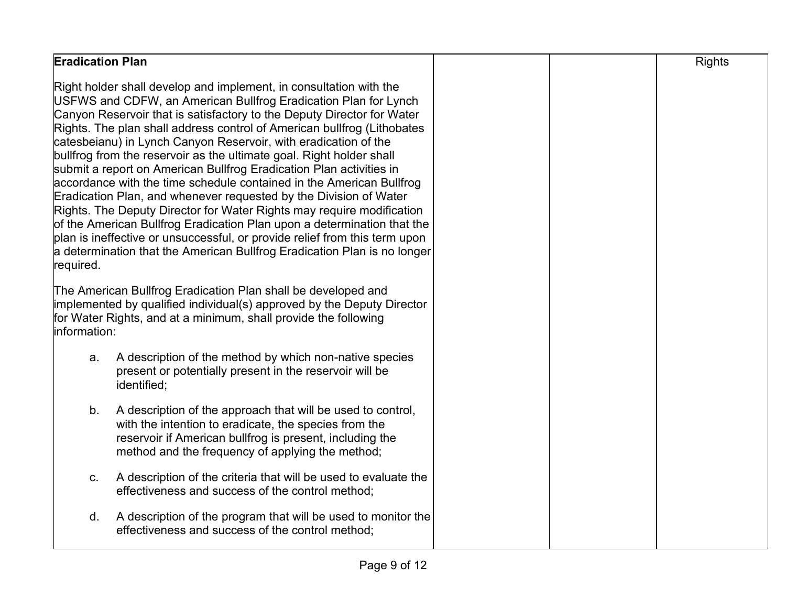| <b>Eradication Plan</b>                                                                                                                                                                                                                                                                                                                                                                                                                                                                                                                                                                                                                                                                                                                                                                                                                                                                                                                                                              | <b>Rights</b> |
|--------------------------------------------------------------------------------------------------------------------------------------------------------------------------------------------------------------------------------------------------------------------------------------------------------------------------------------------------------------------------------------------------------------------------------------------------------------------------------------------------------------------------------------------------------------------------------------------------------------------------------------------------------------------------------------------------------------------------------------------------------------------------------------------------------------------------------------------------------------------------------------------------------------------------------------------------------------------------------------|---------------|
| Right holder shall develop and implement, in consultation with the<br>USFWS and CDFW, an American Bullfrog Eradication Plan for Lynch<br>Canyon Reservoir that is satisfactory to the Deputy Director for Water<br>Rights. The plan shall address control of American bullfrog (Lithobates<br>catesbeianu) in Lynch Canyon Reservoir, with eradication of the<br>bullfrog from the reservoir as the ultimate goal. Right holder shall<br>submit a report on American Bullfrog Eradication Plan activities in<br>accordance with the time schedule contained in the American Bullfrog<br>Eradication Plan, and whenever requested by the Division of Water<br>Rights. The Deputy Director for Water Rights may require modification<br>of the American Bullfrog Eradication Plan upon a determination that the<br>plan is ineffective or unsuccessful, or provide relief from this term upon<br>a determination that the American Bullfrog Eradication Plan is no longer<br>required. |               |
| The American Bullfrog Eradication Plan shall be developed and<br>implemented by qualified individual(s) approved by the Deputy Director<br>for Water Rights, and at a minimum, shall provide the following<br>information:                                                                                                                                                                                                                                                                                                                                                                                                                                                                                                                                                                                                                                                                                                                                                           |               |
| A description of the method by which non-native species<br>а.<br>present or potentially present in the reservoir will be<br>identified;                                                                                                                                                                                                                                                                                                                                                                                                                                                                                                                                                                                                                                                                                                                                                                                                                                              |               |
| b <sub>1</sub><br>A description of the approach that will be used to control,<br>with the intention to eradicate, the species from the<br>reservoir if American bullfrog is present, including the<br>method and the frequency of applying the method;                                                                                                                                                                                                                                                                                                                                                                                                                                                                                                                                                                                                                                                                                                                               |               |
| A description of the criteria that will be used to evaluate the<br>C.<br>effectiveness and success of the control method;                                                                                                                                                                                                                                                                                                                                                                                                                                                                                                                                                                                                                                                                                                                                                                                                                                                            |               |
| A description of the program that will be used to monitor the<br>d.<br>effectiveness and success of the control method;                                                                                                                                                                                                                                                                                                                                                                                                                                                                                                                                                                                                                                                                                                                                                                                                                                                              |               |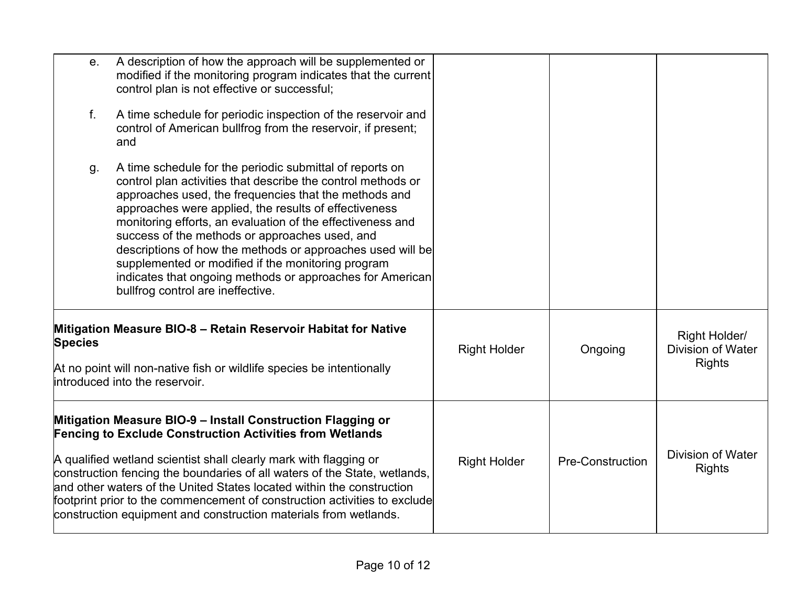| е.<br>$f_{\cdot}$ | A description of how the approach will be supplemented or<br>modified if the monitoring program indicates that the current<br>control plan is not effective or successful;<br>A time schedule for periodic inspection of the reservoir and                                                                                                                                                                                                                                                                                                                                       |                     |                         |                                                            |
|-------------------|----------------------------------------------------------------------------------------------------------------------------------------------------------------------------------------------------------------------------------------------------------------------------------------------------------------------------------------------------------------------------------------------------------------------------------------------------------------------------------------------------------------------------------------------------------------------------------|---------------------|-------------------------|------------------------------------------------------------|
|                   | control of American bullfrog from the reservoir, if present;<br>and                                                                                                                                                                                                                                                                                                                                                                                                                                                                                                              |                     |                         |                                                            |
| g.                | A time schedule for the periodic submittal of reports on<br>control plan activities that describe the control methods or<br>approaches used, the frequencies that the methods and<br>approaches were applied, the results of effectiveness<br>monitoring efforts, an evaluation of the effectiveness and<br>success of the methods or approaches used, and<br>descriptions of how the methods or approaches used will be<br>supplemented or modified if the monitoring program<br>indicates that ongoing methods or approaches for American<br>bullfrog control are ineffective. |                     |                         |                                                            |
| <b>Species</b>    | Mitigation Measure BIO-8 - Retain Reservoir Habitat for Native<br>At no point will non-native fish or wildlife species be intentionally                                                                                                                                                                                                                                                                                                                                                                                                                                          | <b>Right Holder</b> | Ongoing                 | Right Holder/<br><b>Division of Water</b><br><b>Rights</b> |
|                   | introduced into the reservoir.                                                                                                                                                                                                                                                                                                                                                                                                                                                                                                                                                   |                     |                         |                                                            |
|                   | Mitigation Measure BIO-9 - Install Construction Flagging or<br><b>Fencing to Exclude Construction Activities from Wetlands</b>                                                                                                                                                                                                                                                                                                                                                                                                                                                   |                     |                         |                                                            |
|                   | A qualified wetland scientist shall clearly mark with flagging or<br>construction fencing the boundaries of all waters of the State, wetlands,<br>and other waters of the United States located within the construction<br>footprint prior to the commencement of construction activities to exclude<br>construction equipment and construction materials from wetlands.                                                                                                                                                                                                         | <b>Right Holder</b> | <b>Pre-Construction</b> | <b>Division of Water</b><br><b>Rights</b>                  |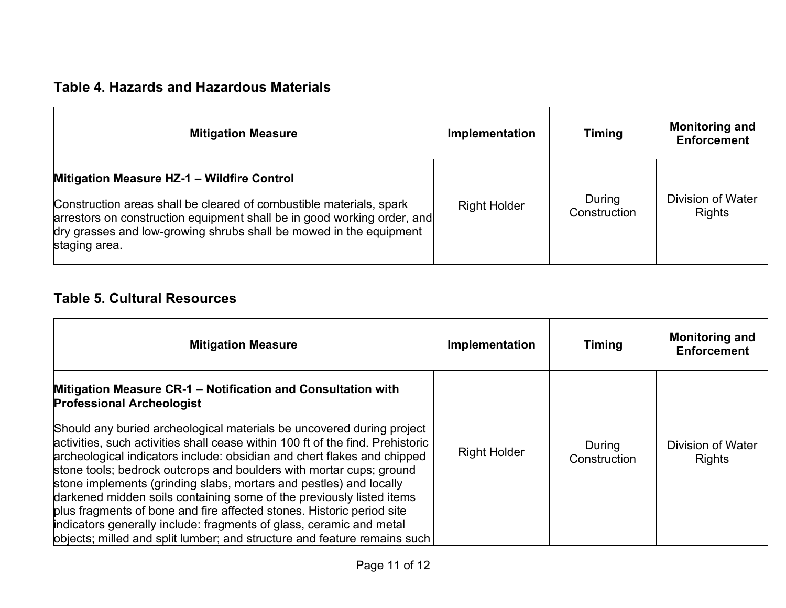#### **Table 4. Hazards and Hazardous Materials**

| <b>Mitigation Measure</b>                                                                                                                                                                                                                                                                  | Implementation      | <b>Timing</b>          | <b>Monitoring and</b><br><b>Enforcement</b> |
|--------------------------------------------------------------------------------------------------------------------------------------------------------------------------------------------------------------------------------------------------------------------------------------------|---------------------|------------------------|---------------------------------------------|
| <b>Mitigation Measure HZ-1 - Wildfire Control</b><br>Construction areas shall be cleared of combustible materials, spark<br>arrestors on construction equipment shall be in good working order, and<br>dry grasses and low-growing shrubs shall be mowed in the equipment<br>staging area. | <b>Right Holder</b> | During<br>Construction | <b>Division of Water</b><br><b>Rights</b>   |

### **Table 5. Cultural Resources**

| <b>Mitigation Measure</b>                                                                                                                                                                                                                                                                                                                                                                                                                                                                                                                                                                                                                                                           | Implementation      | <b>Timing</b>          | <b>Monitoring and</b><br><b>Enforcement</b> |
|-------------------------------------------------------------------------------------------------------------------------------------------------------------------------------------------------------------------------------------------------------------------------------------------------------------------------------------------------------------------------------------------------------------------------------------------------------------------------------------------------------------------------------------------------------------------------------------------------------------------------------------------------------------------------------------|---------------------|------------------------|---------------------------------------------|
| Mitigation Measure CR-1 - Notification and Consultation with<br><b>Professional Archeologist</b>                                                                                                                                                                                                                                                                                                                                                                                                                                                                                                                                                                                    |                     |                        |                                             |
| Should any buried archeological materials be uncovered during project<br>activities, such activities shall cease within 100 ft of the find. Prehistoric<br>archeological indicators include: obsidian and chert flakes and chipped<br>stone tools; bedrock outcrops and boulders with mortar cups; ground<br>stone implements (grinding slabs, mortars and pestles) and locally<br>darkened midden soils containing some of the previously listed items<br>plus fragments of bone and fire affected stones. Historic period site<br>indicators generally include: fragments of glass, ceramic and metal<br>objects; milled and split lumber; and structure and feature remains such | <b>Right Holder</b> | During<br>Construction | Division of Water<br><b>Rights</b>          |